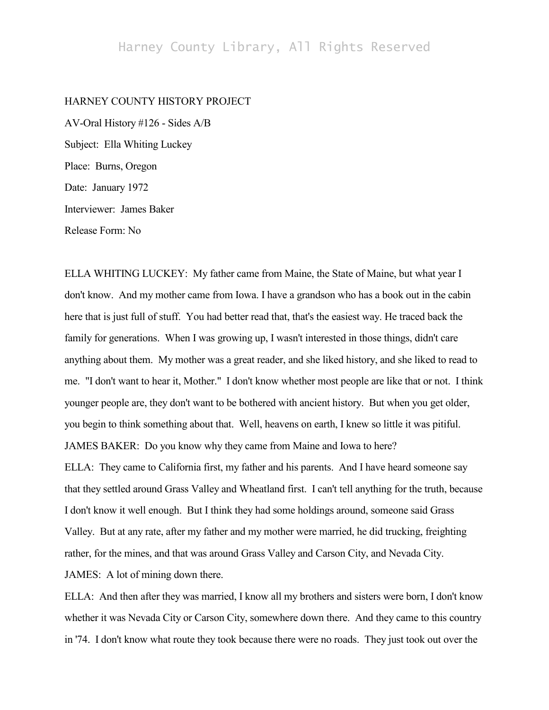# Harney County Library, All Rights Reserved

## HARNEY COUNTY HISTORY PROJECT

AV-Oral History #126 - Sides A/B Subject: Ella Whiting Luckey Place: Burns, Oregon Date: January 1972 Interviewer: James Baker Release Form: No

ELLA WHITING LUCKEY: My father came from Maine, the State of Maine, but what year I don't know. And my mother came from Iowa. I have a grandson who has a book out in the cabin here that is just full of stuff. You had better read that, that's the easiest way. He traced back the family for generations. When I was growing up, I wasn't interested in those things, didn't care anything about them. My mother was a great reader, and she liked history, and she liked to read to me. "I don't want to hear it, Mother." I don't know whether most people are like that or not. I think younger people are, they don't want to be bothered with ancient history. But when you get older, you begin to think something about that. Well, heavens on earth, I knew so little it was pitiful. JAMES BAKER: Do you know why they came from Maine and Iowa to here? ELLA: They came to California first, my father and his parents. And I have heard someone say that they settled around Grass Valley and Wheatland first. I can't tell anything for the truth, because

I don't know it well enough. But I think they had some holdings around, someone said Grass Valley. But at any rate, after my father and my mother were married, he did trucking, freighting rather, for the mines, and that was around Grass Valley and Carson City, and Nevada City. JAMES: A lot of mining down there.

ELLA: And then after they was married, I know all my brothers and sisters were born, I don't know whether it was Nevada City or Carson City, somewhere down there. And they came to this country in '74. I don't know what route they took because there were no roads. They just took out over the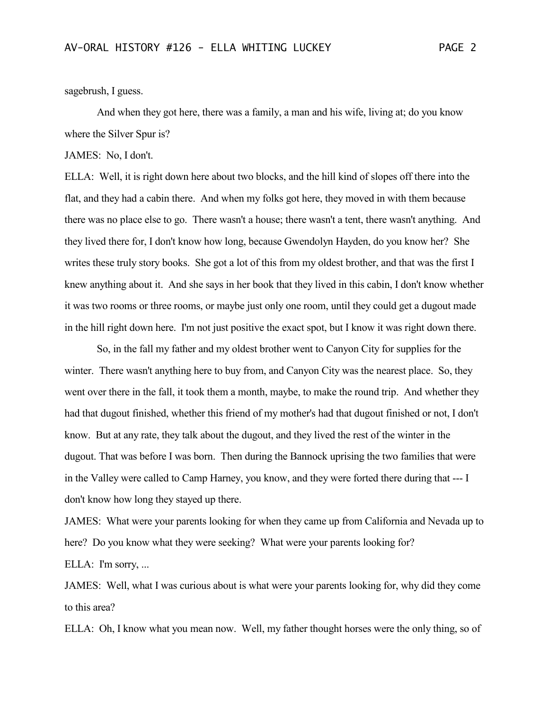sagebrush, I guess.

And when they got here, there was a family, a man and his wife, living at; do you know where the Silver Spur is?

JAMES: No, I don't.

ELLA: Well, it is right down here about two blocks, and the hill kind of slopes off there into the flat, and they had a cabin there. And when my folks got here, they moved in with them because there was no place else to go. There wasn't a house; there wasn't a tent, there wasn't anything. And they lived there for, I don't know how long, because Gwendolyn Hayden, do you know her? She writes these truly story books. She got a lot of this from my oldest brother, and that was the first I knew anything about it. And she says in her book that they lived in this cabin, I don't know whether it was two rooms or three rooms, or maybe just only one room, until they could get a dugout made in the hill right down here. I'm not just positive the exact spot, but I know it was right down there.

So, in the fall my father and my oldest brother went to Canyon City for supplies for the winter. There wasn't anything here to buy from, and Canyon City was the nearest place. So, they went over there in the fall, it took them a month, maybe, to make the round trip. And whether they had that dugout finished, whether this friend of my mother's had that dugout finished or not, I don't know. But at any rate, they talk about the dugout, and they lived the rest of the winter in the dugout. That was before I was born. Then during the Bannock uprising the two families that were in the Valley were called to Camp Harney, you know, and they were forted there during that --- I don't know how long they stayed up there.

JAMES: What were your parents looking for when they came up from California and Nevada up to here? Do you know what they were seeking? What were your parents looking for? ELLA: I'm sorry, ...

JAMES: Well, what I was curious about is what were your parents looking for, why did they come to this area?

ELLA: Oh, I know what you mean now. Well, my father thought horses were the only thing, so of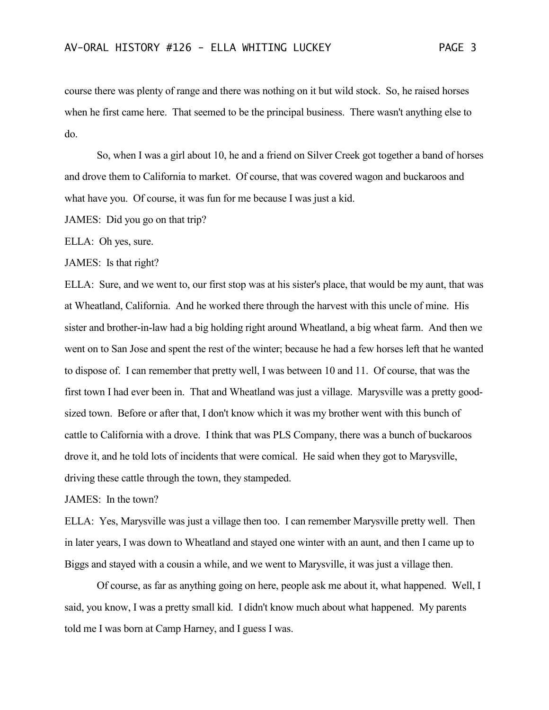course there was plenty of range and there was nothing on it but wild stock. So, he raised horses when he first came here. That seemed to be the principal business. There wasn't anything else to do.

So, when I was a girl about 10, he and a friend on Silver Creek got together a band of horses and drove them to California to market. Of course, that was covered wagon and buckaroos and what have you. Of course, it was fun for me because I was just a kid.

JAMES: Did you go on that trip?

ELLA: Oh yes, sure.

JAMES: Is that right?

ELLA: Sure, and we went to, our first stop was at his sister's place, that would be my aunt, that was at Wheatland, California. And he worked there through the harvest with this uncle of mine. His sister and brother-in-law had a big holding right around Wheatland, a big wheat farm. And then we went on to San Jose and spent the rest of the winter; because he had a few horses left that he wanted to dispose of. I can remember that pretty well, I was between 10 and 11. Of course, that was the first town I had ever been in. That and Wheatland was just a village. Marysville was a pretty goodsized town. Before or after that, I don't know which it was my brother went with this bunch of cattle to California with a drove. I think that was PLS Company, there was a bunch of buckaroos drove it, and he told lots of incidents that were comical. He said when they got to Marysville, driving these cattle through the town, they stampeded.

JAMES: In the town?

ELLA: Yes, Marysville was just a village then too. I can remember Marysville pretty well. Then in later years, I was down to Wheatland and stayed one winter with an aunt, and then I came up to Biggs and stayed with a cousin a while, and we went to Marysville, it was just a village then.

Of course, as far as anything going on here, people ask me about it, what happened. Well, I said, you know, I was a pretty small kid. I didn't know much about what happened. My parents told me I was born at Camp Harney, and I guess I was.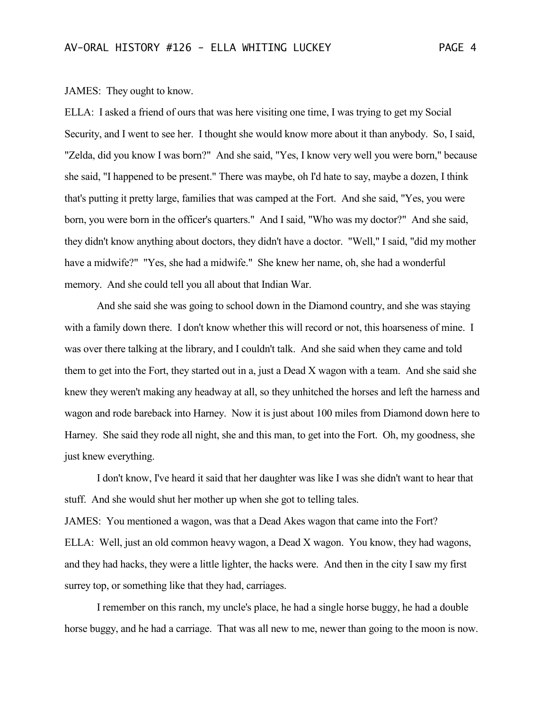## JAMES: They ought to know.

ELLA: I asked a friend of ours that was here visiting one time, I was trying to get my Social Security, and I went to see her. I thought she would know more about it than anybody. So, I said, "Zelda, did you know I was born?" And she said, "Yes, I know very well you were born," because she said, "I happened to be present." There was maybe, oh I'd hate to say, maybe a dozen, I think that's putting it pretty large, families that was camped at the Fort. And she said, "Yes, you were born, you were born in the officer's quarters." And I said, "Who was my doctor?" And she said, they didn't know anything about doctors, they didn't have a doctor. "Well," I said, "did my mother have a midwife?" "Yes, she had a midwife." She knew her name, oh, she had a wonderful memory. And she could tell you all about that Indian War.

And she said she was going to school down in the Diamond country, and she was staying with a family down there. I don't know whether this will record or not, this hoarseness of mine. I was over there talking at the library, and I couldn't talk. And she said when they came and told them to get into the Fort, they started out in a, just a Dead X wagon with a team. And she said she knew they weren't making any headway at all, so they unhitched the horses and left the harness and wagon and rode bareback into Harney. Now it is just about 100 miles from Diamond down here to Harney. She said they rode all night, she and this man, to get into the Fort. Oh, my goodness, she just knew everything.

I don't know, I've heard it said that her daughter was like I was she didn't want to hear that stuff. And she would shut her mother up when she got to telling tales. JAMES: You mentioned a wagon, was that a Dead Akes wagon that came into the Fort? ELLA: Well, just an old common heavy wagon, a Dead X wagon. You know, they had wagons, and they had hacks, they were a little lighter, the hacks were. And then in the city I saw my first surrey top, or something like that they had, carriages.

I remember on this ranch, my uncle's place, he had a single horse buggy, he had a double horse buggy, and he had a carriage. That was all new to me, newer than going to the moon is now.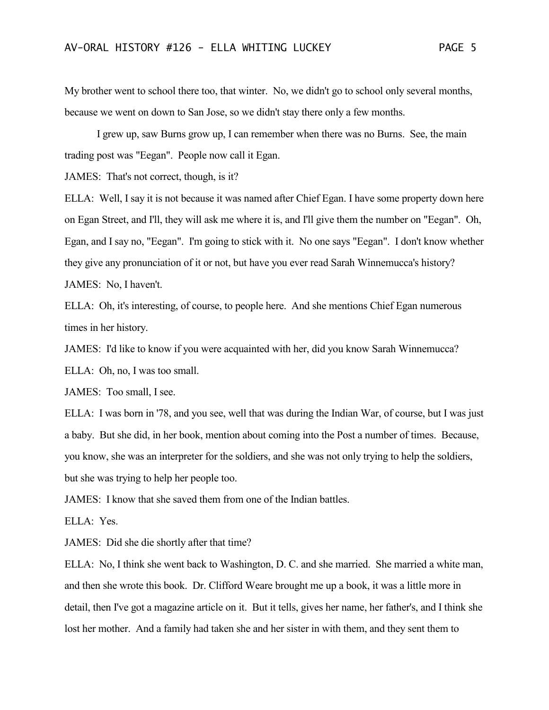My brother went to school there too, that winter. No, we didn't go to school only several months, because we went on down to San Jose, so we didn't stay there only a few months.

I grew up, saw Burns grow up, I can remember when there was no Burns. See, the main trading post was "Eegan". People now call it Egan.

JAMES: That's not correct, though, is it?

ELLA: Well, I say it is not because it was named after Chief Egan. I have some property down here on Egan Street, and I'll, they will ask me where it is, and I'll give them the number on "Eegan". Oh, Egan, and I say no, "Eegan". I'm going to stick with it. No one says "Eegan". I don't know whether they give any pronunciation of it or not, but have you ever read Sarah Winnemucca's history? JAMES: No, I haven't.

ELLA: Oh, it's interesting, of course, to people here. And she mentions Chief Egan numerous times in her history.

JAMES: I'd like to know if you were acquainted with her, did you know Sarah Winnemucca? ELLA: Oh, no, I was too small.

JAMES: Too small, I see.

ELLA: I was born in '78, and you see, well that was during the Indian War, of course, but I was just a baby. But she did, in her book, mention about coming into the Post a number of times. Because, you know, she was an interpreter for the soldiers, and she was not only trying to help the soldiers, but she was trying to help her people too.

JAMES: I know that she saved them from one of the Indian battles.

ELLA: Yes.

JAMES: Did she die shortly after that time?

ELLA: No, I think she went back to Washington, D. C. and she married. She married a white man, and then she wrote this book. Dr. Clifford Weare brought me up a book, it was a little more in detail, then I've got a magazine article on it. But it tells, gives her name, her father's, and I think she lost her mother. And a family had taken she and her sister in with them, and they sent them to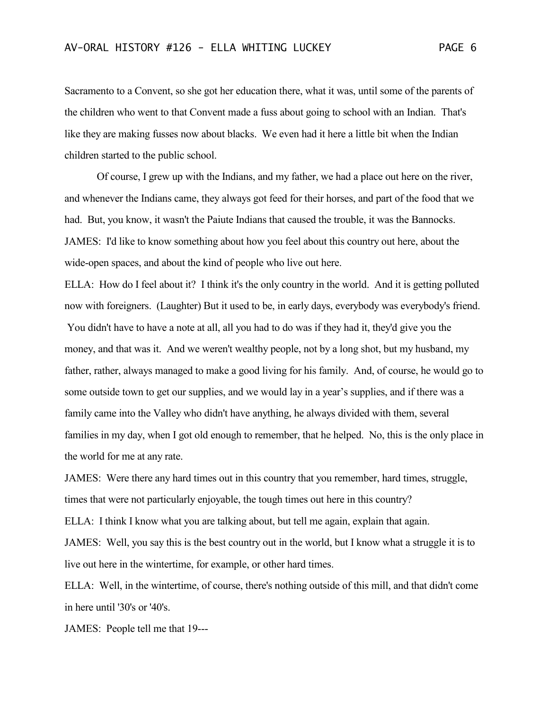Sacramento to a Convent, so she got her education there, what it was, until some of the parents of the children who went to that Convent made a fuss about going to school with an Indian. That's like they are making fusses now about blacks. We even had it here a little bit when the Indian children started to the public school.

Of course, I grew up with the Indians, and my father, we had a place out here on the river, and whenever the Indians came, they always got feed for their horses, and part of the food that we had. But, you know, it wasn't the Paiute Indians that caused the trouble, it was the Bannocks. JAMES: I'd like to know something about how you feel about this country out here, about the wide-open spaces, and about the kind of people who live out here.

ELLA: How do I feel about it? I think it's the only country in the world. And it is getting polluted now with foreigners. (Laughter) But it used to be, in early days, everybody was everybody's friend. You didn't have to have a note at all, all you had to do was if they had it, they'd give you the money, and that was it. And we weren't wealthy people, not by a long shot, but my husband, my father, rather, always managed to make a good living for his family. And, of course, he would go to some outside town to get our supplies, and we would lay in a year's supplies, and if there was a family came into the Valley who didn't have anything, he always divided with them, several families in my day, when I got old enough to remember, that he helped. No, this is the only place in the world for me at any rate.

JAMES: Were there any hard times out in this country that you remember, hard times, struggle, times that were not particularly enjoyable, the tough times out here in this country? ELLA: I think I know what you are talking about, but tell me again, explain that again.

JAMES: Well, you say this is the best country out in the world, but I know what a struggle it is to live out here in the wintertime, for example, or other hard times.

ELLA: Well, in the wintertime, of course, there's nothing outside of this mill, and that didn't come in here until '30's or '40's.

JAMES: People tell me that 19---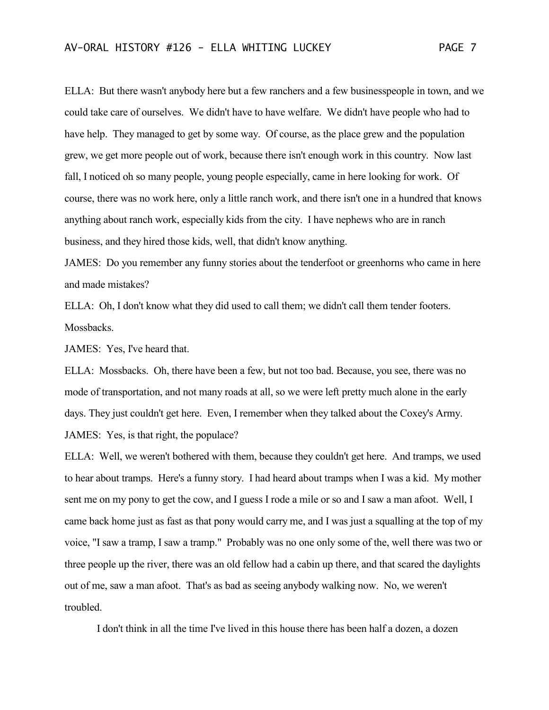ELLA: But there wasn't anybody here but a few ranchers and a few businesspeople in town, and we could take care of ourselves. We didn't have to have welfare. We didn't have people who had to have help. They managed to get by some way. Of course, as the place grew and the population grew, we get more people out of work, because there isn't enough work in this country. Now last fall, I noticed oh so many people, young people especially, came in here looking for work. Of course, there was no work here, only a little ranch work, and there isn't one in a hundred that knows anything about ranch work, especially kids from the city. I have nephews who are in ranch business, and they hired those kids, well, that didn't know anything.

JAMES: Do you remember any funny stories about the tenderfoot or greenhorns who came in here and made mistakes?

ELLA: Oh, I don't know what they did used to call them; we didn't call them tender footers. Mossbacks.

JAMES: Yes, I've heard that.

ELLA: Mossbacks. Oh, there have been a few, but not too bad. Because, you see, there was no mode of transportation, and not many roads at all, so we were left pretty much alone in the early days. They just couldn't get here. Even, I remember when they talked about the Coxey's Army. JAMES: Yes, is that right, the populace?

ELLA: Well, we weren't bothered with them, because they couldn't get here. And tramps, we used to hear about tramps. Here's a funny story. I had heard about tramps when I was a kid. My mother sent me on my pony to get the cow, and I guess I rode a mile or so and I saw a man afoot. Well, I came back home just as fast as that pony would carry me, and I was just a squalling at the top of my voice, "I saw a tramp, I saw a tramp." Probably was no one only some of the, well there was two or three people up the river, there was an old fellow had a cabin up there, and that scared the daylights out of me, saw a man afoot. That's as bad as seeing anybody walking now. No, we weren't troubled.

I don't think in all the time I've lived in this house there has been half a dozen, a dozen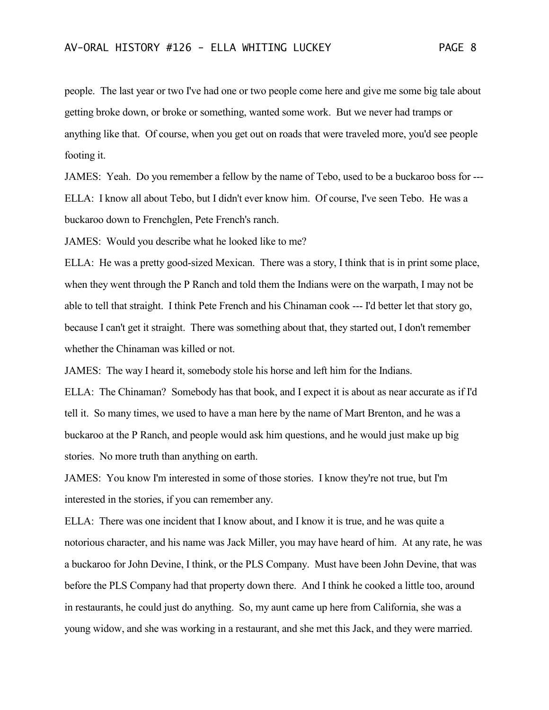people. The last year or two I've had one or two people come here and give me some big tale about getting broke down, or broke or something, wanted some work. But we never had tramps or anything like that. Of course, when you get out on roads that were traveled more, you'd see people footing it.

JAMES: Yeah. Do you remember a fellow by the name of Tebo, used to be a buckaroo boss for --- ELLA: I know all about Tebo, but I didn't ever know him. Of course, I've seen Tebo. He was a buckaroo down to Frenchglen, Pete French's ranch.

JAMES: Would you describe what he looked like to me?

ELLA: He was a pretty good-sized Mexican. There was a story, I think that is in print some place, when they went through the P Ranch and told them the Indians were on the warpath, I may not be able to tell that straight. I think Pete French and his Chinaman cook --- I'd better let that story go, because I can't get it straight. There was something about that, they started out, I don't remember whether the Chinaman was killed or not.

JAMES: The way I heard it, somebody stole his horse and left him for the Indians.

ELLA: The Chinaman? Somebody has that book, and I expect it is about as near accurate as if I'd tell it. So many times, we used to have a man here by the name of Mart Brenton, and he was a buckaroo at the P Ranch, and people would ask him questions, and he would just make up big stories. No more truth than anything on earth.

JAMES: You know I'm interested in some of those stories. I know they're not true, but I'm interested in the stories, if you can remember any.

ELLA: There was one incident that I know about, and I know it is true, and he was quite a notorious character, and his name was Jack Miller, you may have heard of him. At any rate, he was a buckaroo for John Devine, I think, or the PLS Company. Must have been John Devine, that was before the PLS Company had that property down there. And I think he cooked a little too, around in restaurants, he could just do anything. So, my aunt came up here from California, she was a young widow, and she was working in a restaurant, and she met this Jack, and they were married.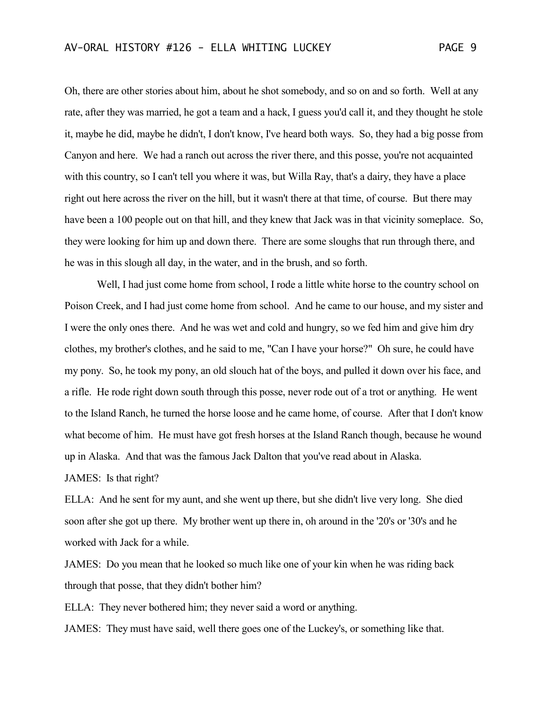Oh, there are other stories about him, about he shot somebody, and so on and so forth. Well at any rate, after they was married, he got a team and a hack, I guess you'd call it, and they thought he stole it, maybe he did, maybe he didn't, I don't know, I've heard both ways. So, they had a big posse from Canyon and here. We had a ranch out across the river there, and this posse, you're not acquainted with this country, so I can't tell you where it was, but Willa Ray, that's a dairy, they have a place right out here across the river on the hill, but it wasn't there at that time, of course. But there may have been a 100 people out on that hill, and they knew that Jack was in that vicinity someplace. So, they were looking for him up and down there. There are some sloughs that run through there, and he was in this slough all day, in the water, and in the brush, and so forth.

Well, I had just come home from school, I rode a little white horse to the country school on Poison Creek, and I had just come home from school. And he came to our house, and my sister and I were the only ones there. And he was wet and cold and hungry, so we fed him and give him dry clothes, my brother's clothes, and he said to me, "Can I have your horse?" Oh sure, he could have my pony. So, he took my pony, an old slouch hat of the boys, and pulled it down over his face, and a rifle. He rode right down south through this posse, never rode out of a trot or anything. He went to the Island Ranch, he turned the horse loose and he came home, of course. After that I don't know what become of him. He must have got fresh horses at the Island Ranch though, because he wound up in Alaska. And that was the famous Jack Dalton that you've read about in Alaska.

JAMES: Is that right?

ELLA: And he sent for my aunt, and she went up there, but she didn't live very long. She died soon after she got up there. My brother went up there in, oh around in the '20's or '30's and he worked with Jack for a while.

JAMES: Do you mean that he looked so much like one of your kin when he was riding back through that posse, that they didn't bother him?

ELLA: They never bothered him; they never said a word or anything.

JAMES: They must have said, well there goes one of the Luckey's, or something like that.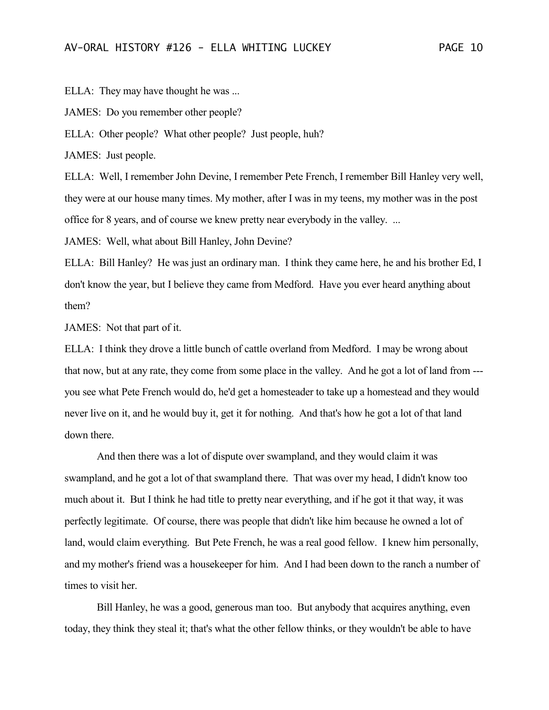ELLA: They may have thought he was ...

JAMES: Do you remember other people?

ELLA: Other people? What other people? Just people, huh?

JAMES: Just people.

ELLA: Well, I remember John Devine, I remember Pete French, I remember Bill Hanley very well, they were at our house many times. My mother, after I was in my teens, my mother was in the post office for 8 years, and of course we knew pretty near everybody in the valley. ...

JAMES: Well, what about Bill Hanley, John Devine?

ELLA: Bill Hanley? He was just an ordinary man. I think they came here, he and his brother Ed, I don't know the year, but I believe they came from Medford. Have you ever heard anything about them?

JAMES: Not that part of it.

ELLA: I think they drove a little bunch of cattle overland from Medford. I may be wrong about that now, but at any rate, they come from some place in the valley. And he got a lot of land from -- you see what Pete French would do, he'd get a homesteader to take up a homestead and they would never live on it, and he would buy it, get it for nothing. And that's how he got a lot of that land down there.

And then there was a lot of dispute over swampland, and they would claim it was swampland, and he got a lot of that swampland there. That was over my head, I didn't know too much about it. But I think he had title to pretty near everything, and if he got it that way, it was perfectly legitimate. Of course, there was people that didn't like him because he owned a lot of land, would claim everything. But Pete French, he was a real good fellow. I knew him personally, and my mother's friend was a housekeeper for him. And I had been down to the ranch a number of times to visit her.

Bill Hanley, he was a good, generous man too. But anybody that acquires anything, even today, they think they steal it; that's what the other fellow thinks, or they wouldn't be able to have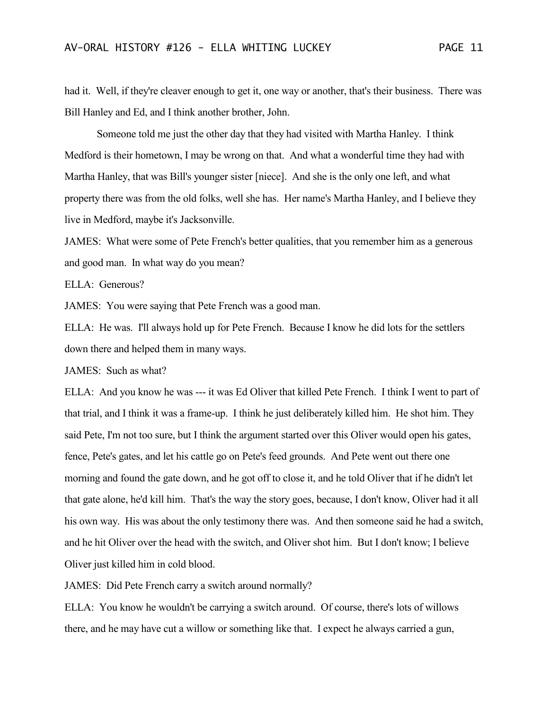had it. Well, if they're cleaver enough to get it, one way or another, that's their business. There was Bill Hanley and Ed, and I think another brother, John.

Someone told me just the other day that they had visited with Martha Hanley. I think Medford is their hometown, I may be wrong on that. And what a wonderful time they had with Martha Hanley, that was Bill's younger sister [niece]. And she is the only one left, and what property there was from the old folks, well she has. Her name's Martha Hanley, and I believe they live in Medford, maybe it's Jacksonville.

JAMES: What were some of Pete French's better qualities, that you remember him as a generous and good man. In what way do you mean?

ELLA: Generous?

JAMES: You were saying that Pete French was a good man.

ELLA: He was. I'll always hold up for Pete French. Because I know he did lots for the settlers down there and helped them in many ways.

JAMES: Such as what?

ELLA: And you know he was --- it was Ed Oliver that killed Pete French. I think I went to part of that trial, and I think it was a frame-up. I think he just deliberately killed him. He shot him. They said Pete, I'm not too sure, but I think the argument started over this Oliver would open his gates, fence, Pete's gates, and let his cattle go on Pete's feed grounds. And Pete went out there one morning and found the gate down, and he got off to close it, and he told Oliver that if he didn't let that gate alone, he'd kill him. That's the way the story goes, because, I don't know, Oliver had it all his own way. His was about the only testimony there was. And then someone said he had a switch, and he hit Oliver over the head with the switch, and Oliver shot him. But I don't know; I believe Oliver just killed him in cold blood.

JAMES: Did Pete French carry a switch around normally?

ELLA: You know he wouldn't be carrying a switch around. Of course, there's lots of willows there, and he may have cut a willow or something like that. I expect he always carried a gun,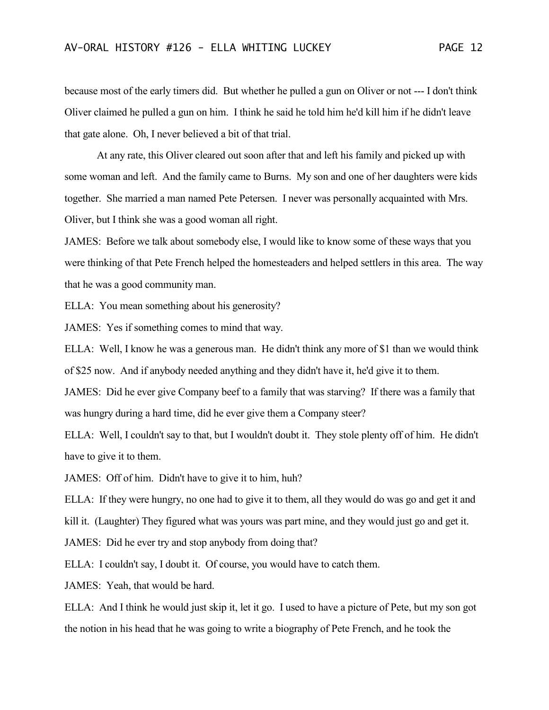because most of the early timers did. But whether he pulled a gun on Oliver or not --- I don't think Oliver claimed he pulled a gun on him. I think he said he told him he'd kill him if he didn't leave that gate alone. Oh, I never believed a bit of that trial.

At any rate, this Oliver cleared out soon after that and left his family and picked up with some woman and left. And the family came to Burns. My son and one of her daughters were kids together. She married a man named Pete Petersen. I never was personally acquainted with Mrs. Oliver, but I think she was a good woman all right.

JAMES: Before we talk about somebody else, I would like to know some of these ways that you were thinking of that Pete French helped the homesteaders and helped settlers in this area. The way that he was a good community man.

ELLA: You mean something about his generosity?

JAMES: Yes if something comes to mind that way.

ELLA: Well, I know he was a generous man. He didn't think any more of \$1 than we would think of \$25 now. And if anybody needed anything and they didn't have it, he'd give it to them.

JAMES: Did he ever give Company beef to a family that was starving? If there was a family that was hungry during a hard time, did he ever give them a Company steer?

ELLA: Well, I couldn't say to that, but I wouldn't doubt it. They stole plenty off of him. He didn't have to give it to them.

JAMES: Off of him. Didn't have to give it to him, huh?

ELLA: If they were hungry, no one had to give it to them, all they would do was go and get it and

kill it. (Laughter) They figured what was yours was part mine, and they would just go and get it.

JAMES: Did he ever try and stop anybody from doing that?

ELLA: I couldn't say, I doubt it. Of course, you would have to catch them.

JAMES: Yeah, that would be hard.

ELLA: And I think he would just skip it, let it go. I used to have a picture of Pete, but my son got the notion in his head that he was going to write a biography of Pete French, and he took the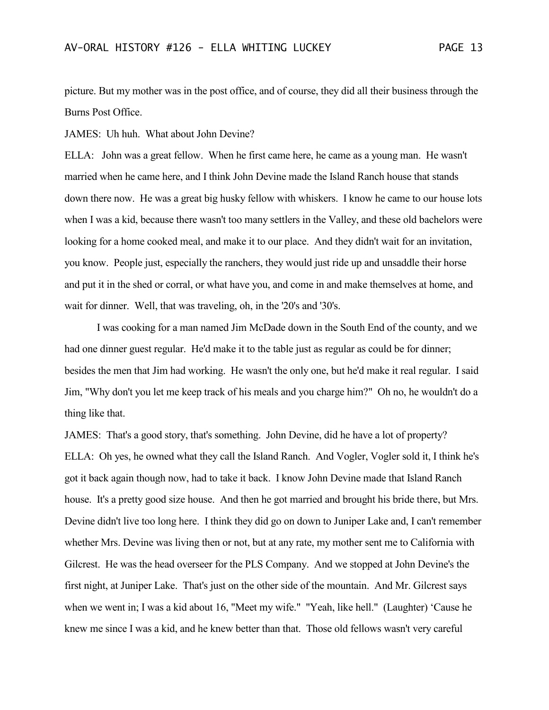picture. But my mother was in the post office, and of course, they did all their business through the Burns Post Office.

JAMES: Uh huh. What about John Devine?

ELLA: John was a great fellow. When he first came here, he came as a young man. He wasn't married when he came here, and I think John Devine made the Island Ranch house that stands down there now. He was a great big husky fellow with whiskers. I know he came to our house lots when I was a kid, because there wasn't too many settlers in the Valley, and these old bachelors were looking for a home cooked meal, and make it to our place. And they didn't wait for an invitation, you know. People just, especially the ranchers, they would just ride up and unsaddle their horse and put it in the shed or corral, or what have you, and come in and make themselves at home, and wait for dinner. Well, that was traveling, oh, in the '20's and '30's.

I was cooking for a man named Jim McDade down in the South End of the county, and we had one dinner guest regular. He'd make it to the table just as regular as could be for dinner; besides the men that Jim had working. He wasn't the only one, but he'd make it real regular. I said Jim, "Why don't you let me keep track of his meals and you charge him?" Oh no, he wouldn't do a thing like that.

JAMES: That's a good story, that's something. John Devine, did he have a lot of property? ELLA: Oh yes, he owned what they call the Island Ranch. And Vogler, Vogler sold it, I think he's got it back again though now, had to take it back. I know John Devine made that Island Ranch house. It's a pretty good size house. And then he got married and brought his bride there, but Mrs. Devine didn't live too long here. I think they did go on down to Juniper Lake and, I can't remember whether Mrs. Devine was living then or not, but at any rate, my mother sent me to California with Gilcrest. He was the head overseer for the PLS Company. And we stopped at John Devine's the first night, at Juniper Lake. That's just on the other side of the mountain. And Mr. Gilcrest says when we went in; I was a kid about 16, "Meet my wife." "Yeah, like hell." (Laughter) 'Cause he knew me since I was a kid, and he knew better than that. Those old fellows wasn't very careful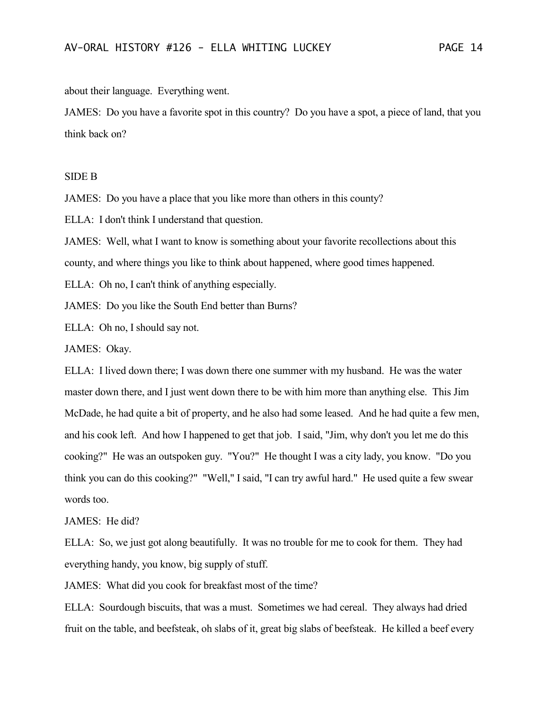about their language. Everything went.

JAMES: Do you have a favorite spot in this country? Do you have a spot, a piece of land, that you think back on?

### SIDE B

JAMES: Do you have a place that you like more than others in this county?

ELLA: I don't think I understand that question.

JAMES: Well, what I want to know is something about your favorite recollections about this county, and where things you like to think about happened, where good times happened.

ELLA: Oh no, I can't think of anything especially.

JAMES: Do you like the South End better than Burns?

ELLA: Oh no, I should say not.

JAMES: Okay.

ELLA: I lived down there; I was down there one summer with my husband. He was the water master down there, and I just went down there to be with him more than anything else. This Jim McDade, he had quite a bit of property, and he also had some leased. And he had quite a few men, and his cook left. And how I happened to get that job. I said, "Jim, why don't you let me do this cooking?" He was an outspoken guy. "You?" He thought I was a city lady, you know. "Do you think you can do this cooking?" "Well," I said, "I can try awful hard." He used quite a few swear words too.

#### JAMES: He did?

ELLA: So, we just got along beautifully. It was no trouble for me to cook for them. They had everything handy, you know, big supply of stuff.

JAMES: What did you cook for breakfast most of the time?

ELLA: Sourdough biscuits, that was a must. Sometimes we had cereal. They always had dried fruit on the table, and beefsteak, oh slabs of it, great big slabs of beefsteak. He killed a beef every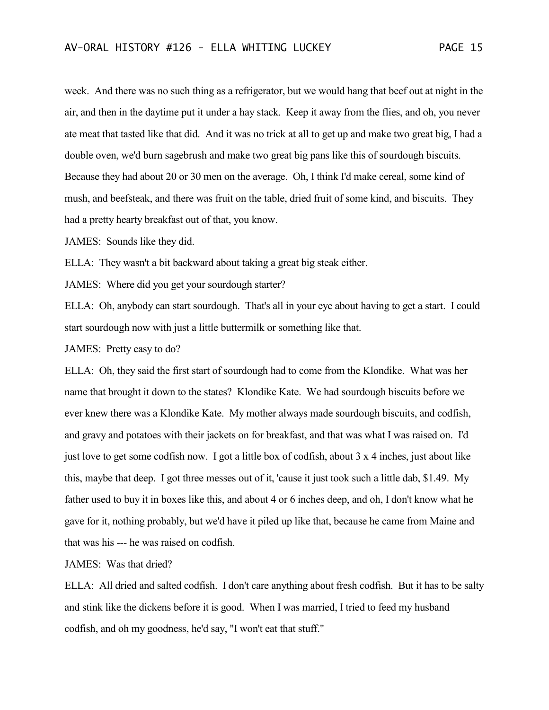week. And there was no such thing as a refrigerator, but we would hang that beef out at night in the air, and then in the daytime put it under a hay stack. Keep it away from the flies, and oh, you never ate meat that tasted like that did. And it was no trick at all to get up and make two great big, I had a double oven, we'd burn sagebrush and make two great big pans like this of sourdough biscuits. Because they had about 20 or 30 men on the average. Oh, I think I'd make cereal, some kind of mush, and beefsteak, and there was fruit on the table, dried fruit of some kind, and biscuits. They had a pretty hearty breakfast out of that, you know.

JAMES: Sounds like they did.

ELLA: They wasn't a bit backward about taking a great big steak either.

JAMES: Where did you get your sourdough starter?

ELLA: Oh, anybody can start sourdough. That's all in your eye about having to get a start. I could start sourdough now with just a little buttermilk or something like that.

JAMES: Pretty easy to do?

ELLA: Oh, they said the first start of sourdough had to come from the Klondike. What was her name that brought it down to the states? Klondike Kate. We had sourdough biscuits before we ever knew there was a Klondike Kate. My mother always made sourdough biscuits, and codfish, and gravy and potatoes with their jackets on for breakfast, and that was what I was raised on. I'd just love to get some codfish now. I got a little box of codfish, about 3 x 4 inches, just about like this, maybe that deep. I got three messes out of it, 'cause it just took such a little dab, \$1.49. My father used to buy it in boxes like this, and about 4 or 6 inches deep, and oh, I don't know what he gave for it, nothing probably, but we'd have it piled up like that, because he came from Maine and that was his --- he was raised on codfish.

JAMES: Was that dried?

ELLA: All dried and salted codfish. I don't care anything about fresh codfish. But it has to be salty and stink like the dickens before it is good. When I was married, I tried to feed my husband codfish, and oh my goodness, he'd say, "I won't eat that stuff."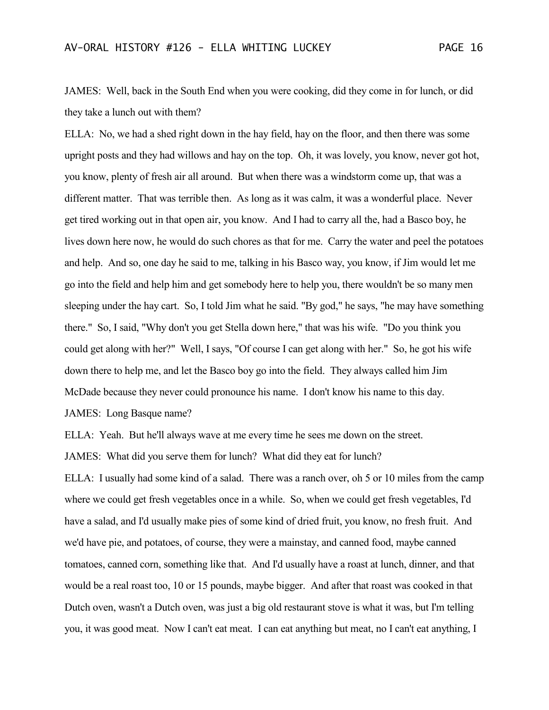JAMES: Well, back in the South End when you were cooking, did they come in for lunch, or did they take a lunch out with them?

ELLA: No, we had a shed right down in the hay field, hay on the floor, and then there was some upright posts and they had willows and hay on the top. Oh, it was lovely, you know, never got hot, you know, plenty of fresh air all around. But when there was a windstorm come up, that was a different matter. That was terrible then. As long as it was calm, it was a wonderful place. Never get tired working out in that open air, you know. And I had to carry all the, had a Basco boy, he lives down here now, he would do such chores as that for me. Carry the water and peel the potatoes and help. And so, one day he said to me, talking in his Basco way, you know, if Jim would let me go into the field and help him and get somebody here to help you, there wouldn't be so many men sleeping under the hay cart. So, I told Jim what he said. "By god," he says, "he may have something there." So, I said, "Why don't you get Stella down here," that was his wife. "Do you think you could get along with her?" Well, I says, "Of course I can get along with her." So, he got his wife down there to help me, and let the Basco boy go into the field. They always called him Jim McDade because they never could pronounce his name. I don't know his name to this day. JAMES: Long Basque name?

ELLA: Yeah. But he'll always wave at me every time he sees me down on the street.

JAMES: What did you serve them for lunch? What did they eat for lunch?

ELLA: I usually had some kind of a salad. There was a ranch over, oh 5 or 10 miles from the camp where we could get fresh vegetables once in a while. So, when we could get fresh vegetables, I'd have a salad, and I'd usually make pies of some kind of dried fruit, you know, no fresh fruit. And we'd have pie, and potatoes, of course, they were a mainstay, and canned food, maybe canned tomatoes, canned corn, something like that. And I'd usually have a roast at lunch, dinner, and that would be a real roast too, 10 or 15 pounds, maybe bigger. And after that roast was cooked in that Dutch oven, wasn't a Dutch oven, was just a big old restaurant stove is what it was, but I'm telling you, it was good meat. Now I can't eat meat. I can eat anything but meat, no I can't eat anything, I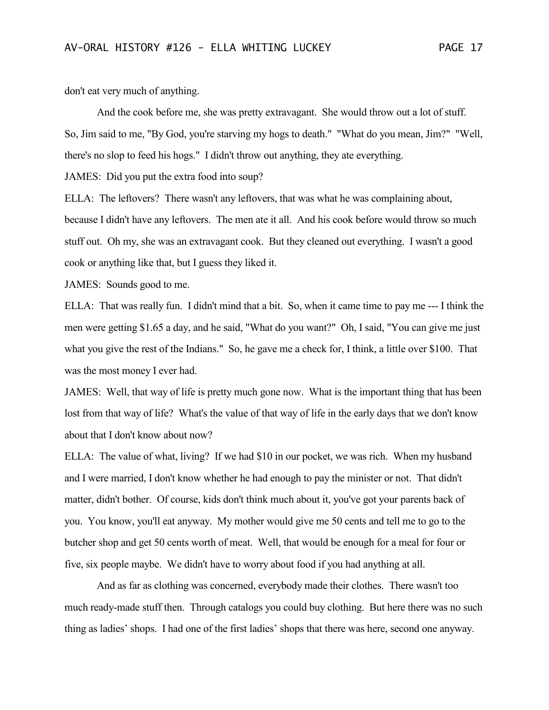don't eat very much of anything.

And the cook before me, she was pretty extravagant. She would throw out a lot of stuff. So, Jim said to me, "By God, you're starving my hogs to death." "What do you mean, Jim?" "Well, there's no slop to feed his hogs." I didn't throw out anything, they ate everything.

JAMES: Did you put the extra food into soup?

ELLA: The leftovers? There wasn't any leftovers, that was what he was complaining about, because I didn't have any leftovers. The men ate it all. And his cook before would throw so much stuff out. Oh my, she was an extravagant cook. But they cleaned out everything. I wasn't a good cook or anything like that, but I guess they liked it.

JAMES: Sounds good to me.

ELLA: That was really fun. I didn't mind that a bit. So, when it came time to pay me --- I think the men were getting \$1.65 a day, and he said, "What do you want?" Oh, I said, "You can give me just what you give the rest of the Indians." So, he gave me a check for, I think, a little over \$100. That was the most money I ever had.

JAMES: Well, that way of life is pretty much gone now. What is the important thing that has been lost from that way of life? What's the value of that way of life in the early days that we don't know about that I don't know about now?

ELLA: The value of what, living? If we had \$10 in our pocket, we was rich. When my husband and I were married, I don't know whether he had enough to pay the minister or not. That didn't matter, didn't bother. Of course, kids don't think much about it, you've got your parents back of you. You know, you'll eat anyway. My mother would give me 50 cents and tell me to go to the butcher shop and get 50 cents worth of meat. Well, that would be enough for a meal for four or five, six people maybe. We didn't have to worry about food if you had anything at all.

And as far as clothing was concerned, everybody made their clothes. There wasn't too much ready-made stuff then. Through catalogs you could buy clothing. But here there was no such thing as ladies' shops. I had one of the first ladies' shops that there was here, second one anyway.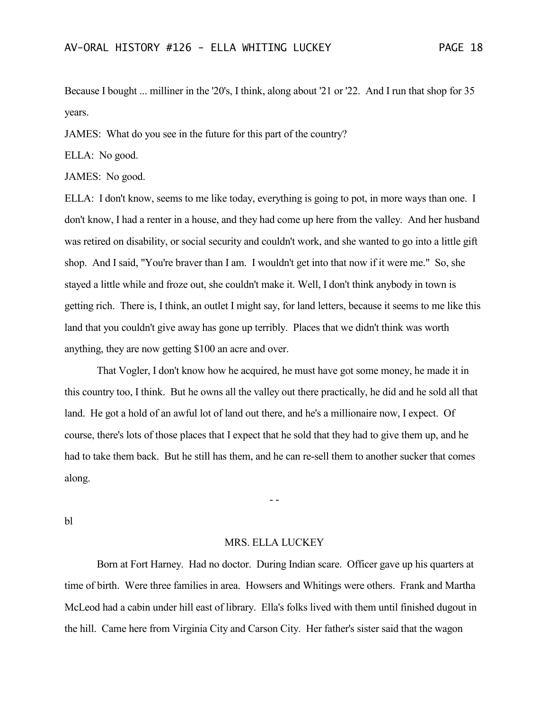Because I bought ... milliner in the '20's, I think, along about '21 or '22. And I run that shop for 35 years.

JAMES: What do you see in the future for this part of the country?

ELLA: No good.

JAMES: No good.

ELLA: I don't know, seems to me like today, everything is going to pot, in more ways than one. I don't know, I had a renter in a house, and they had come up here from the valley. And her husband was retired on disability, or social security and couldn't work, and she wanted to go into a little gift shop. And I said, "You're braver than I am. I wouldn't get into that now if it were me." So, she stayed a little while and froze out, she couldn't make it. Well, I don't think anybody in town is getting rich. There is, I think, an outlet I might say, for land letters, because it seems to me like this land that you couldn't give away has gone up terribly. Places that we didn't think was worth anything, they are now getting \$100 an acre and over.

That Vogler, I don't know how he acquired, he must have got some money, he made it in this country too, I think. But he owns all the valley out there practically, he did and he sold all that land. He got a hold of an awful lot of land out there, and he's a millionaire now, I expect. Of course, there's lots of those places that I expect that he sold that they had to give them up, and he had to take them back. But he still has them, and he can re-sell them to another sucker that comes along.

bl

### MRS. ELLA LUCKEY

- -

Born at Fort Harney. Had no doctor. During Indian scare. Officer gave up his quarters at time of birth. Were three families in area. Howsers and Whitings were others. Frank and Martha McLeod had a cabin under hill east of library. Ella's folks lived with them until finished dugout in the hill. Came here from Virginia City and Carson City. Her father's sister said that the wagon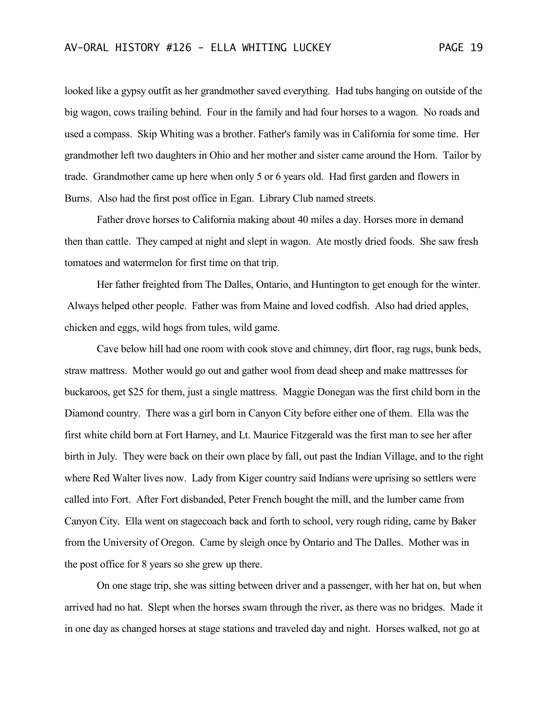looked like a gypsy outfit as her grandmother saved everything. Had tubs hanging on outside of the big wagon, cows trailing behind. Four in the family and had four horses to a wagon. No roads and used a compass. Skip Whiting was a brother. Father's family was in California for some time. Her grandmother left two daughters in Ohio and her mother and sister came around the Horn. Tailor by trade. Grandmother came up here when only 5 or 6 years old. Had first garden and flowers in Burns. Also had the first post office in Egan. Library Club named streets.

Father drove horses to California making about 40 miles a day. Horses more in demand then than cattle. They camped at night and slept in wagon. Ate mostly dried foods. She saw fresh tomatoes and watermelon for first time on that trip.

Her father freighted from The Dalles, Ontario, and Huntington to get enough for the winter. Always helped other people. Father was from Maine and loved codfish. Also had dried apples, chicken and eggs, wild hogs from tules, wild game.

Cave below hill had one room with cook stove and chimney, dirt floor, rag rugs, bunk beds, straw mattress. Mother would go out and gather wool from dead sheep and make mattresses for buckaroos, get \$25 for them, just a single mattress. Maggie Donegan was the first child born in the Diamond country. There was a girl born in Canyon City before either one of them. Ella was the first white child born at Fort Harney, and Lt. Maurice Fitzgerald was the first man to see her after birth in July. They were back on their own place by fall, out past the Indian Village, and to the right where Red Walter lives now. Lady from Kiger country said Indians were uprising so settlers were called into Fort. After Fort disbanded, Peter French bought the mill, and the lumber came from Canyon City. Ella went on stagecoach back and forth to school, very rough riding, came by Baker from the University of Oregon. Came by sleigh once by Ontario and The Dalles. Mother was in the post office for 8 years so she grew up there.

On one stage trip, she was sitting between driver and a passenger, with her hat on, but when arrived had no hat. Slept when the horses swam through the river, as there was no bridges. Made it in one day as changed horses at stage stations and traveled day and night. Horses walked, not go at